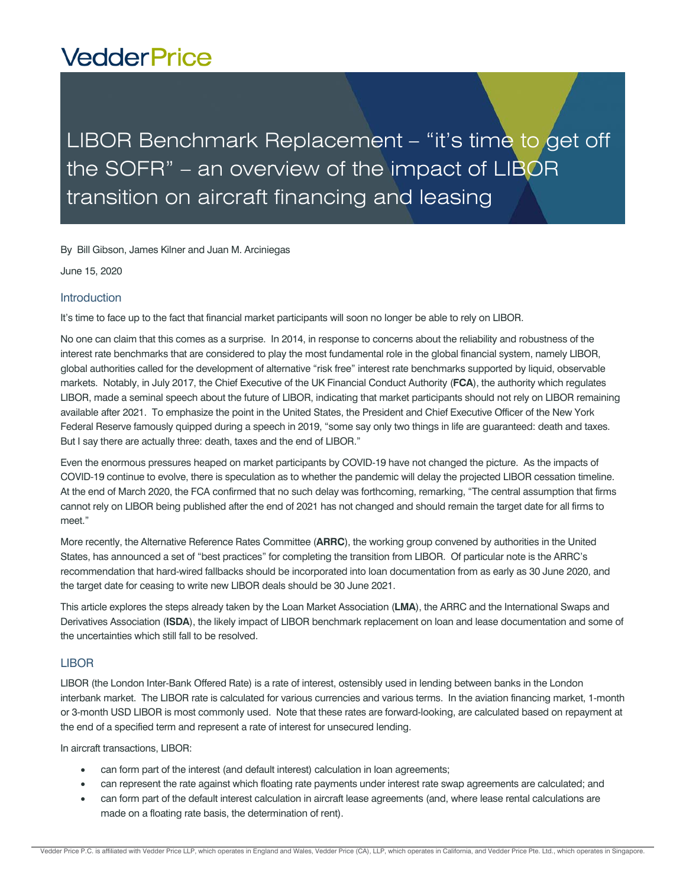# **VedderPrice**

# LIBOR Benchmark Replacement - "it's time to get off the SOFR" – an overview of the impact of LIBOR transition on aircraft financing and leasing

By Bill Gibson, James Kilner and Juan M. Arciniegas

June 15, 2020

#### **Introduction**

It's time to face up to the fact that financial market participants will soon no longer be able to rely on LIBOR.

No one can claim that this comes as a surprise. In 2014, in response to concerns about the reliability and robustness of the interest rate benchmarks that are considered to play the most fundamental role in the global financial system, namely LIBOR, global authorities called for the development of alternative "risk free" interest rate benchmarks supported by liquid, observable markets. Notably, in July 2017, the Chief Executive of the UK Financial Conduct Authority (**FCA**), the authority which regulates LIBOR, made a seminal speech about the future of LIBOR, indicating that market participants should not rely on LIBOR remaining available after 2021. To emphasize the point in the United States, the President and Chief Executive Officer of the New York Federal Reserve famously quipped during a speech in 2019, "some say only two things in life are guaranteed: death and taxes. But I say there are actually three: death, taxes and the end of LIBOR."

Even the enormous pressures heaped on market participants by COVID-19 have not changed the picture. As the impacts of COVID-19 continue to evolve, there is speculation as to whether the pandemic will delay the projected LIBOR cessation timeline. At the end of March 2020, the FCA confirmed that no such delay was forthcoming, remarking, "The central assumption that firms cannot rely on LIBOR being published after the end of 2021 has not changed and should remain the target date for all firms to meet."

More recently, the Alternative Reference Rates Committee (**ARRC**), the working group convened by authorities in the United States, has announced a set of "best practices" for completing the transition from LIBOR. Of particular note is the ARRC's recommendation that hard-wired fallbacks should be incorporated into loan documentation from as early as 30 June 2020, and the target date for ceasing to write new LIBOR deals should be 30 June 2021.

This article explores the steps already taken by the Loan Market Association (**LMA**), the ARRC and the International Swaps and Derivatives Association (**ISDA**), the likely impact of LIBOR benchmark replacement on loan and lease documentation and some of the uncertainties which still fall to be resolved.

#### **LIBOR**

LIBOR (the London Inter-Bank Offered Rate) is a rate of interest, ostensibly used in lending between banks in the London interbank market. The LIBOR rate is calculated for various currencies and various terms. In the aviation financing market, 1-month or 3-month USD LIBOR is most commonly used. Note that these rates are forward-looking, are calculated based on repayment at the end of a specified term and represent a rate of interest for unsecured lending.

In aircraft transactions, LIBOR:

- can form part of the interest (and default interest) calculation in loan agreements;
- can represent the rate against which floating rate payments under interest rate swap agreements are calculated; and
- can form part of the default interest calculation in aircraft lease agreements (and, where lease rental calculations are made on a floating rate basis, the determination of rent).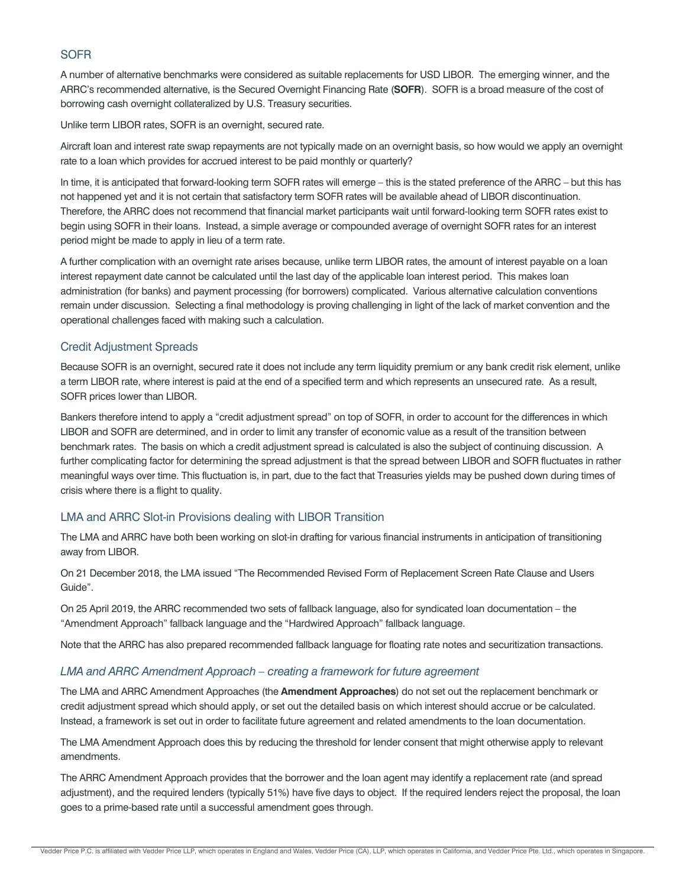# **SOFR**

A number of alternative benchmarks were considered as suitable replacements for USD LIBOR. The emerging winner, and the ARRC's recommended alternative, is the Secured Overnight Financing Rate (**SOFR**). SOFR is a broad measure of the cost of borrowing cash overnight collateralized by U.S. Treasury securities.

Unlike term LIBOR rates, SOFR is an overnight, secured rate.

Aircraft loan and interest rate swap repayments are not typically made on an overnight basis, so how would we apply an overnight rate to a loan which provides for accrued interest to be paid monthly or quarterly?

In time, it is anticipated that forward-looking term SOFR rates will emerge – this is the stated preference of the ARRC – but this has not happened yet and it is not certain that satisfactory term SOFR rates will be available ahead of LIBOR discontinuation. Therefore, the ARRC does not recommend that financial market participants wait until forward-looking term SOFR rates exist to begin using SOFR in their loans. Instead, a simple average or compounded average of overnight SOFR rates for an interest period might be made to apply in lieu of a term rate.

A further complication with an overnight rate arises because, unlike term LIBOR rates, the amount of interest payable on a loan interest repayment date cannot be calculated until the last day of the applicable loan interest period. This makes loan administration (for banks) and payment processing (for borrowers) complicated. Various alternative calculation conventions remain under discussion. Selecting a final methodology is proving challenging in light of the lack of market convention and the operational challenges faced with making such a calculation.

#### Credit Adjustment Spreads

Because SOFR is an overnight, secured rate it does not include any term liquidity premium or any bank credit risk element, unlike a term LIBOR rate, where interest is paid at the end of a specified term and which represents an unsecured rate. As a result, SOFR prices lower than LIBOR.

Bankers therefore intend to apply a "credit adjustment spread" on top of SOFR, in order to account for the differences in which LIBOR and SOFR are determined, and in order to limit any transfer of economic value as a result of the transition between benchmark rates. The basis on which a credit adjustment spread is calculated is also the subject of continuing discussion. A further complicating factor for determining the spread adjustment is that the spread between LIBOR and SOFR fluctuates in rather meaningful ways over time. This fluctuation is, in part, due to the fact that Treasuries yields may be pushed down during times of crisis where there is a flight to quality.

# LMA and ARRC Slot-in Provisions dealing with LIBOR Transition

The LMA and ARRC have both been working on slot-in drafting for various financial instruments in anticipation of transitioning away from LIBOR.

On 21 December 2018, the LMA issued "The Recommended Revised Form of Replacement Screen Rate Clause and Users Guide".

On 25 April 2019, the ARRC recommended two sets of fallback language, also for syndicated loan documentation – the "Amendment Approach" fallback language and the "Hardwired Approach" fallback language.

Note that the ARRC has also prepared recommended fallback language for floating rate notes and securitization transactions.

#### *LMA and ARRC Amendment Approach – creating a framework for future agreement*

The LMA and ARRC Amendment Approaches (the **Amendment Approaches**) do not set out the replacement benchmark or credit adjustment spread which should apply, or set out the detailed basis on which interest should accrue or be calculated. Instead, a framework is set out in order to facilitate future agreement and related amendments to the loan documentation.

The LMA Amendment Approach does this by reducing the threshold for lender consent that might otherwise apply to relevant amendments.

The ARRC Amendment Approach provides that the borrower and the loan agent may identify a replacement rate (and spread adjustment), and the required lenders (typically 51%) have five days to object. If the required lenders reject the proposal, the loan goes to a prime-based rate until a successful amendment goes through.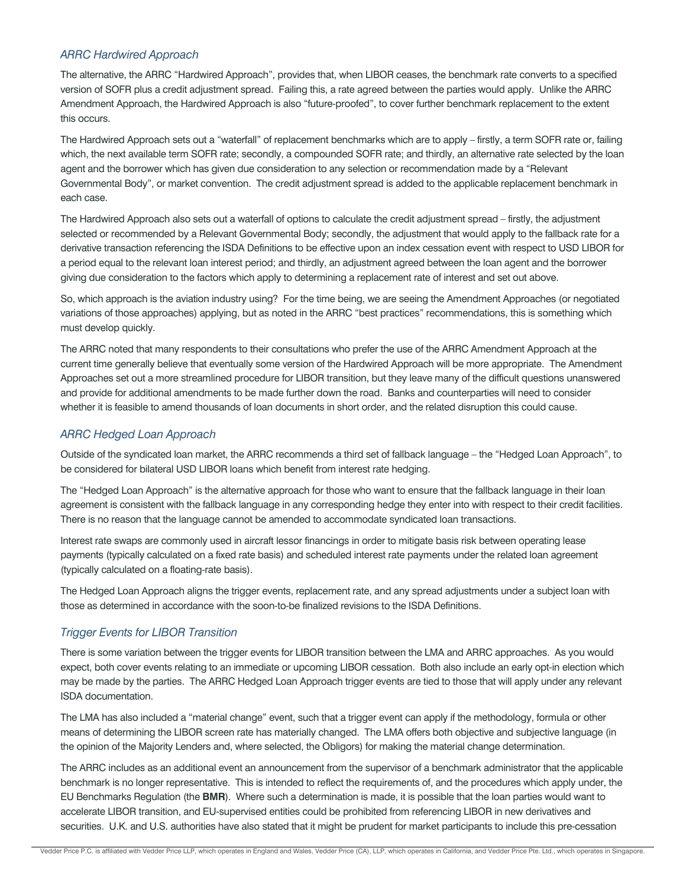#### *ARRC Hardwired Approach*

The alternative, the ARRC "Hardwired Approach", provides that, when LIBOR ceases, the benchmark rate converts to a specified version of SOFR plus a credit adjustment spread. Failing this, a rate agreed between the parties would apply. Unlike the ARRC Amendment Approach, the Hardwired Approach is also "future-proofed", to cover further benchmark replacement to the extent this occurs.

The Hardwired Approach sets out a "waterfall" of replacement benchmarks which are to apply – firstly, a term SOFR rate or, failing which, the next available term SOFR rate; secondly, a compounded SOFR rate; and thirdly, an alternative rate selected by the loan agent and the borrower which has given due consideration to any selection or recommendation made by a "Relevant Governmental Body", or market convention. The credit adjustment spread is added to the applicable replacement benchmark in each case.

The Hardwired Approach also sets out a waterfall of options to calculate the credit adjustment spread – firstly, the adjustment selected or recommended by a Relevant Governmental Body; secondly, the adjustment that would apply to the fallback rate for a derivative transaction referencing the ISDA Definitions to be effective upon an index cessation event with respect to USD LIBOR for a period equal to the relevant loan interest period; and thirdly, an adjustment agreed between the loan agent and the borrower giving due consideration to the factors which apply to determining a replacement rate of interest and set out above.

So, which approach is the aviation industry using? For the time being, we are seeing the Amendment Approaches (or negotiated variations of those approaches) applying, but as noted in the ARRC "best practices" recommendations, this is something which must develop quickly.

The ARRC noted that many respondents to their consultations who prefer the use of the ARRC Amendment Approach at the current time generally believe that eventually some version of the Hardwired Approach will be more appropriate. The Amendment Approaches set out a more streamlined procedure for LIBOR transition, but they leave many of the difficult questions unanswered and provide for additional amendments to be made further down the road. Banks and counterparties will need to consider whether it is feasible to amend thousands of loan documents in short order, and the related disruption this could cause.

# *ARRC Hedged Loan Approach*

Outside of the syndicated loan market, the ARRC recommends a third set of fallback language – the "Hedged Loan Approach", to be considered for bilateral USD LIBOR loans which benefit from interest rate hedging.

The "Hedged Loan Approach" is the alternative approach for those who want to ensure that the fallback language in their loan agreement is consistent with the fallback language in any corresponding hedge they enter into with respect to their credit facilities. There is no reason that the language cannot be amended to accommodate syndicated loan transactions.

Interest rate swaps are commonly used in aircraft lessor financings in order to mitigate basis risk between operating lease payments (typically calculated on a fixed rate basis) and scheduled interest rate payments under the related loan agreement (typically calculated on a floating-rate basis).

The Hedged Loan Approach aligns the trigger events, replacement rate, and any spread adjustments under a subject loan with those as determined in accordance with the soon-to-be finalized revisions to the ISDA Definitions.

# *Trigger Events for LIBOR Transition*

There is some variation between the trigger events for LIBOR transition between the LMA and ARRC approaches. As you would expect, both cover events relating to an immediate or upcoming LIBOR cessation. Both also include an early opt-in election which may be made by the parties. The ARRC Hedged Loan Approach trigger events are tied to those that will apply under any relevant ISDA documentation.

The LMA has also included a "material change" event, such that a trigger event can apply if the methodology, formula or other means of determining the LIBOR screen rate has materially changed. The LMA offers both objective and subjective language (in the opinion of the Majority Lenders and, where selected, the Obligors) for making the material change determination.

The ARRC includes as an additional event an announcement from the supervisor of a benchmark administrator that the applicable benchmark is no longer representative. This is intended to reflect the requirements of, and the procedures which apply under, the EU Benchmarks Regulation (the **BMR**). Where such a determination is made, it is possible that the loan parties would want to accelerate LIBOR transition, and EU-supervised entities could be prohibited from referencing LIBOR in new derivatives and securities. U.K. and U.S. authorities have also stated that it might be prudent for market participants to include this pre-cessation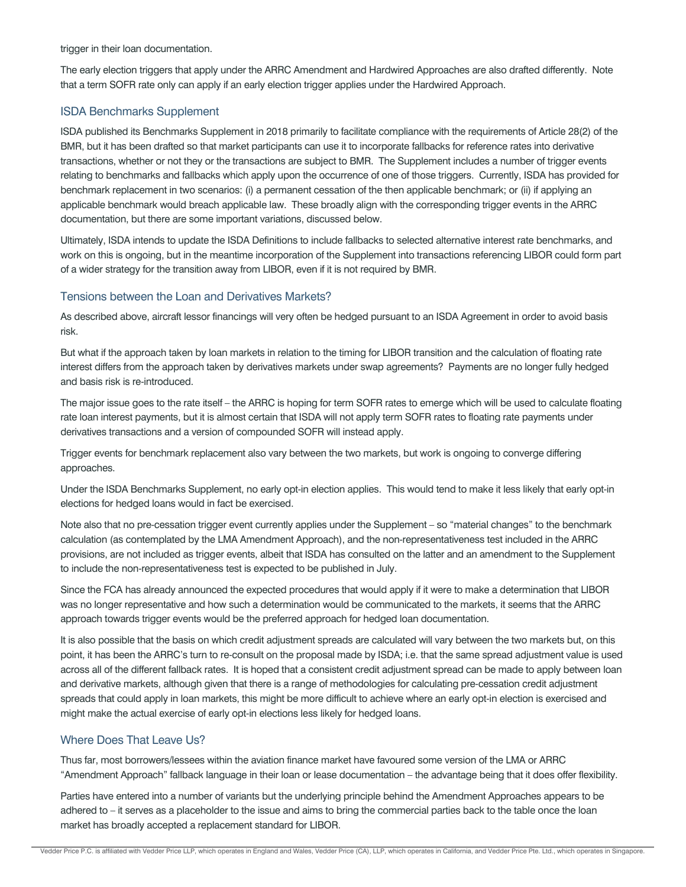trigger in their loan documentation.

The early election triggers that apply under the ARRC Amendment and Hardwired Approaches are also drafted differently. Note that a term SOFR rate only can apply if an early election trigger applies under the Hardwired Approach.

#### ISDA Benchmarks Supplement

ISDA published its Benchmarks Supplement in 2018 primarily to facilitate compliance with the requirements of Article 28(2) of the BMR, but it has been drafted so that market participants can use it to incorporate fallbacks for reference rates into derivative transactions, whether or not they or the transactions are subject to BMR. The Supplement includes a number of trigger events relating to benchmarks and fallbacks which apply upon the occurrence of one of those triggers. Currently, ISDA has provided for benchmark replacement in two scenarios: (i) a permanent cessation of the then applicable benchmark; or (ii) if applying an applicable benchmark would breach applicable law. These broadly align with the corresponding trigger events in the ARRC documentation, but there are some important variations, discussed below.

Ultimately, ISDA intends to update the ISDA Definitions to include fallbacks to selected alternative interest rate benchmarks, and work on this is ongoing, but in the meantime incorporation of the Supplement into transactions referencing LIBOR could form part of a wider strategy for the transition away from LIBOR, even if it is not required by BMR.

#### Tensions between the Loan and Derivatives Markets?

As described above, aircraft lessor financings will very often be hedged pursuant to an ISDA Agreement in order to avoid basis risk.

But what if the approach taken by loan markets in relation to the timing for LIBOR transition and the calculation of floating rate interest differs from the approach taken by derivatives markets under swap agreements? Payments are no longer fully hedged and basis risk is re-introduced.

The major issue goes to the rate itself – the ARRC is hoping for term SOFR rates to emerge which will be used to calculate floating rate loan interest payments, but it is almost certain that ISDA will not apply term SOFR rates to floating rate payments under derivatives transactions and a version of compounded SOFR will instead apply.

Trigger events for benchmark replacement also vary between the two markets, but work is ongoing to converge differing approaches.

Under the ISDA Benchmarks Supplement, no early opt-in election applies. This would tend to make it less likely that early opt-in elections for hedged loans would in fact be exercised.

Note also that no pre-cessation trigger event currently applies under the Supplement – so "material changes" to the benchmark calculation (as contemplated by the LMA Amendment Approach), and the non-representativeness test included in the ARRC provisions, are not included as trigger events, albeit that ISDA has consulted on the latter and an amendment to the Supplement to include the non-representativeness test is expected to be published in July.

Since the FCA has already announced the expected procedures that would apply if it were to make a determination that LIBOR was no longer representative and how such a determination would be communicated to the markets, it seems that the ARRC approach towards trigger events would be the preferred approach for hedged loan documentation.

It is also possible that the basis on which credit adjustment spreads are calculated will vary between the two markets but, on this point, it has been the ARRC's turn to re-consult on the proposal made by ISDA; i.e. that the same spread adjustment value is used across all of the different fallback rates. It is hoped that a consistent credit adjustment spread can be made to apply between loan and derivative markets, although given that there is a range of methodologies for calculating pre-cessation credit adjustment spreads that could apply in loan markets, this might be more difficult to achieve where an early opt-in election is exercised and might make the actual exercise of early opt-in elections less likely for hedged loans.

# Where Does That Leave Us?

Thus far, most borrowers/lessees within the aviation finance market have favoured some version of the LMA or ARRC "Amendment Approach" fallback language in their loan or lease documentation – the advantage being that it does offer flexibility.

Parties have entered into a number of variants but the underlying principle behind the Amendment Approaches appears to be adhered to – it serves as a placeholder to the issue and aims to bring the commercial parties back to the table once the loan market has broadly accepted a replacement standard for LIBOR.